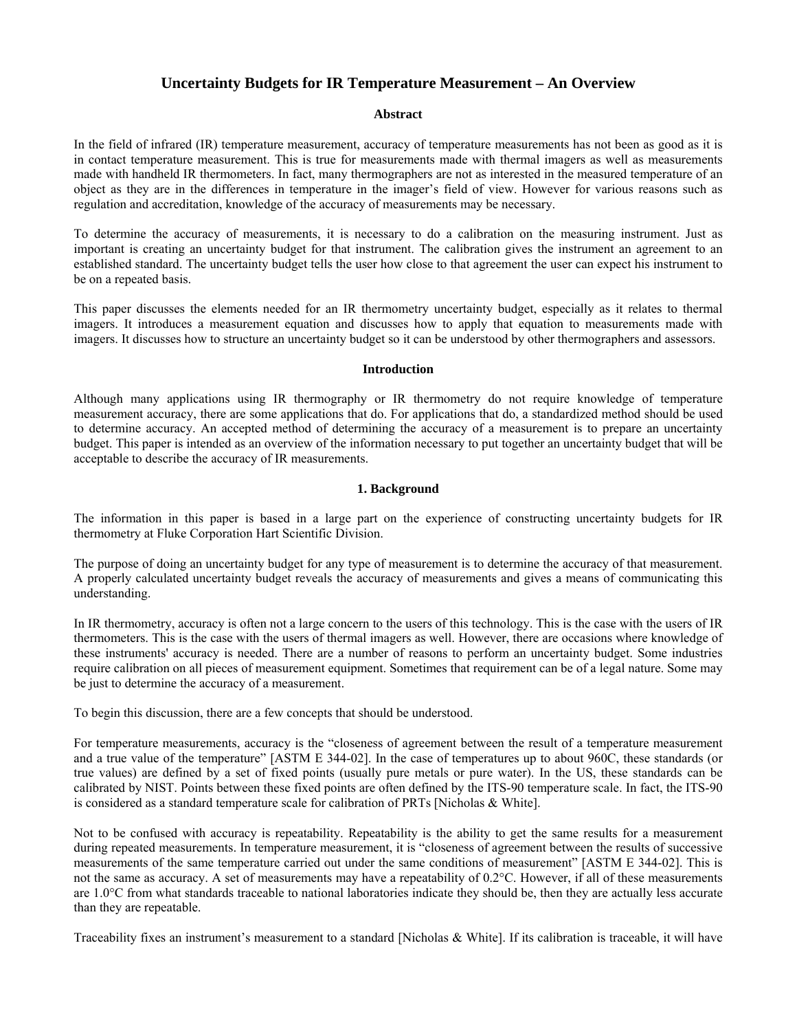# **Uncertainty Budgets for IR Temperature Measurement – An Overview**

# **Abstract**

In the field of infrared (IR) temperature measurement, accuracy of temperature measurements has not been as good as it is in contact temperature measurement. This is true for measurements made with thermal imagers as well as measurements made with handheld IR thermometers. In fact, many thermographers are not as interested in the measured temperature of an object as they are in the differences in temperature in the imager's field of view. However for various reasons such as regulation and accreditation, knowledge of the accuracy of measurements may be necessary.

To determine the accuracy of measurements, it is necessary to do a calibration on the measuring instrument. Just as important is creating an uncertainty budget for that instrument. The calibration gives the instrument an agreement to an established standard. The uncertainty budget tells the user how close to that agreement the user can expect his instrument to be on a repeated basis.

This paper discusses the elements needed for an IR thermometry uncertainty budget, especially as it relates to thermal imagers. It introduces a measurement equation and discusses how to apply that equation to measurements made with imagers. It discusses how to structure an uncertainty budget so it can be understood by other thermographers and assessors.

## **Introduction**

Although many applications using IR thermography or IR thermometry do not require knowledge of temperature measurement accuracy, there are some applications that do. For applications that do, a standardized method should be used to determine accuracy. An accepted method of determining the accuracy of a measurement is to prepare an uncertainty budget. This paper is intended as an overview of the information necessary to put together an uncertainty budget that will be acceptable to describe the accuracy of IR measurements.

# **1. Background**

The information in this paper is based in a large part on the experience of constructing uncertainty budgets for IR thermometry at Fluke Corporation Hart Scientific Division.

The purpose of doing an uncertainty budget for any type of measurement is to determine the accuracy of that measurement. A properly calculated uncertainty budget reveals the accuracy of measurements and gives a means of communicating this understanding.

In IR thermometry, accuracy is often not a large concern to the users of this technology. This is the case with the users of IR thermometers. This is the case with the users of thermal imagers as well. However, there are occasions where knowledge of these instruments' accuracy is needed. There are a number of reasons to perform an uncertainty budget. Some industries require calibration on all pieces of measurement equipment. Sometimes that requirement can be of a legal nature. Some may be just to determine the accuracy of a measurement.

To begin this discussion, there are a few concepts that should be understood.

For temperature measurements, accuracy is the "closeness of agreement between the result of a temperature measurement and a true value of the temperature" [ASTM E 344-02]. In the case of temperatures up to about 960C, these standards (or true values) are defined by a set of fixed points (usually pure metals or pure water). In the US, these standards can be calibrated by NIST. Points between these fixed points are often defined by the ITS-90 temperature scale. In fact, the ITS-90 is considered as a standard temperature scale for calibration of PRTs [Nicholas & White].

Not to be confused with accuracy is repeatability. Repeatability is the ability to get the same results for a measurement during repeated measurements. In temperature measurement, it is "closeness of agreement between the results of successive measurements of the same temperature carried out under the same conditions of measurement" [ASTM E 344-02]. This is not the same as accuracy. A set of measurements may have a repeatability of 0.2°C. However, if all of these measurements are 1.0°C from what standards traceable to national laboratories indicate they should be, then they are actually less accurate than they are repeatable.

Traceability fixes an instrument's measurement to a standard [Nicholas & White]. If its calibration is traceable, it will have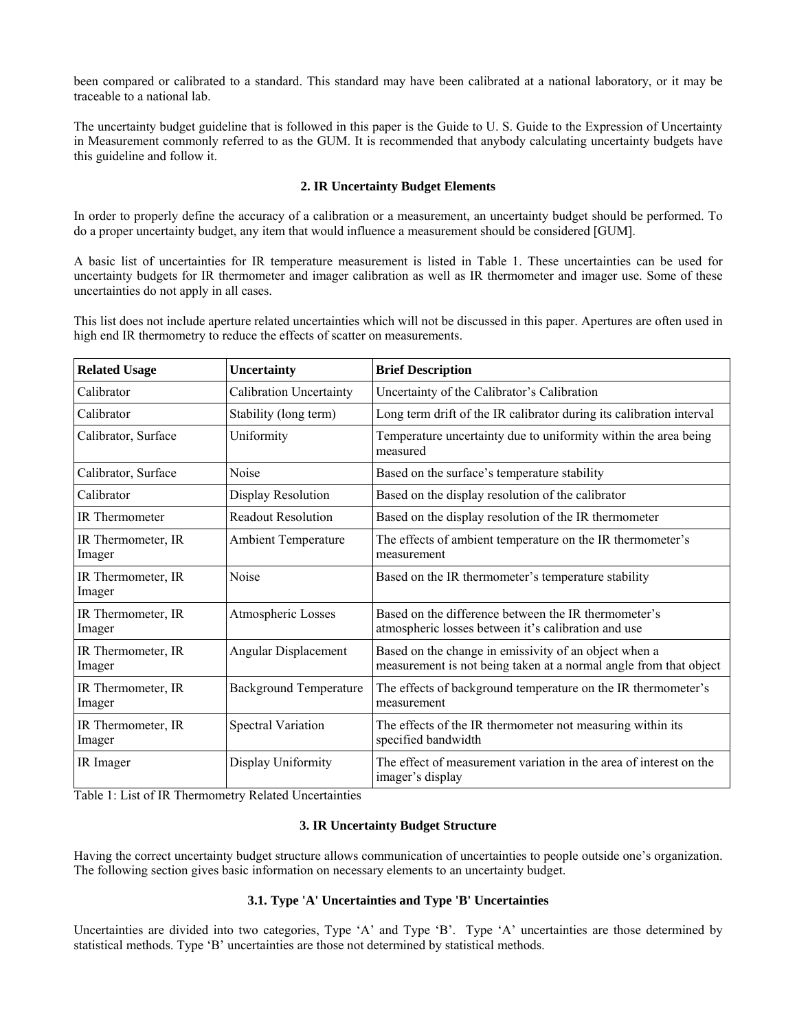been compared or calibrated to a standard. This standard may have been calibrated at a national laboratory, or it may be traceable to a national lab.

The uncertainty budget guideline that is followed in this paper is the Guide to U. S. Guide to the Expression of Uncertainty in Measurement commonly referred to as the GUM. It is recommended that anybody calculating uncertainty budgets have this guideline and follow it.

# **2. IR Uncertainty Budget Elements**

In order to properly define the accuracy of a calibration or a measurement, an uncertainty budget should be performed. To do a proper uncertainty budget, any item that would influence a measurement should be considered [GUM].

A basic list of uncertainties for IR temperature measurement is listed in Table 1. These uncertainties can be used for uncertainty budgets for IR thermometer and imager calibration as well as IR thermometer and imager use. Some of these uncertainties do not apply in all cases.

This list does not include aperture related uncertainties which will not be discussed in this paper. Apertures are often used in high end IR thermometry to reduce the effects of scatter on measurements.

| <b>Related Usage</b>         | Uncertainty                   | <b>Brief Description</b>                                                                                                   |
|------------------------------|-------------------------------|----------------------------------------------------------------------------------------------------------------------------|
| Calibrator                   | Calibration Uncertainty       | Uncertainty of the Calibrator's Calibration                                                                                |
| Calibrator                   | Stability (long term)         | Long term drift of the IR calibrator during its calibration interval                                                       |
| Calibrator, Surface          | Uniformity                    | Temperature uncertainty due to uniformity within the area being<br>measured                                                |
| Calibrator, Surface          | Noise                         | Based on the surface's temperature stability                                                                               |
| Calibrator                   | Display Resolution            | Based on the display resolution of the calibrator                                                                          |
| <b>IR</b> Thermometer        | <b>Readout Resolution</b>     | Based on the display resolution of the IR thermometer                                                                      |
| IR Thermometer, IR<br>Imager | <b>Ambient Temperature</b>    | The effects of ambient temperature on the IR thermometer's<br>measurement                                                  |
| IR Thermometer, IR<br>Imager | Noise                         | Based on the IR thermometer's temperature stability                                                                        |
| IR Thermometer, IR<br>Imager | Atmospheric Losses            | Based on the difference between the IR thermometer's<br>atmospheric losses between it's calibration and use                |
| IR Thermometer, IR<br>Imager | Angular Displacement          | Based on the change in emissivity of an object when a<br>measurement is not being taken at a normal angle from that object |
| IR Thermometer, IR<br>Imager | <b>Background Temperature</b> | The effects of background temperature on the IR thermometer's<br>measurement                                               |
| IR Thermometer, IR<br>Imager | Spectral Variation            | The effects of the IR thermometer not measuring within its<br>specified bandwidth                                          |
| IR Imager                    | Display Uniformity            | The effect of measurement variation in the area of interest on the<br>imager's display                                     |

Table 1: List of IR Thermometry Related Uncertainties

# **3. IR Uncertainty Budget Structure**

Having the correct uncertainty budget structure allows communication of uncertainties to people outside one's organization. The following section gives basic information on necessary elements to an uncertainty budget.

## **3.1. Type 'A' Uncertainties and Type 'B' Uncertainties**

Uncertainties are divided into two categories, Type 'A' and Type 'B'. Type 'A' uncertainties are those determined by statistical methods. Type 'B' uncertainties are those not determined by statistical methods.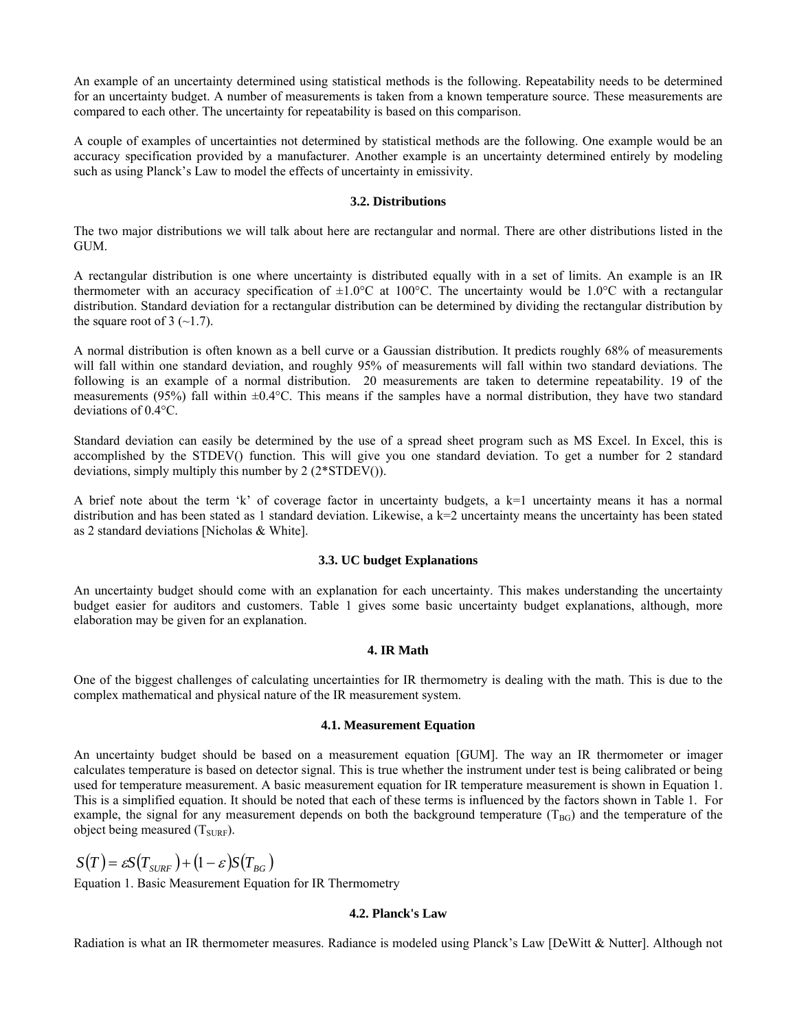An example of an uncertainty determined using statistical methods is the following. Repeatability needs to be determined for an uncertainty budget. A number of measurements is taken from a known temperature source. These measurements are compared to each other. The uncertainty for repeatability is based on this comparison.

A couple of examples of uncertainties not determined by statistical methods are the following. One example would be an accuracy specification provided by a manufacturer. Another example is an uncertainty determined entirely by modeling such as using Planck's Law to model the effects of uncertainty in emissivity.

# **3.2. Distributions**

The two major distributions we will talk about here are rectangular and normal. There are other distributions listed in the GUM.

A rectangular distribution is one where uncertainty is distributed equally with in a set of limits. An example is an IR thermometer with an accuracy specification of  $\pm 1.0^{\circ}$ C at 100°C. The uncertainty would be 1.0°C with a rectangular distribution. Standard deviation for a rectangular distribution can be determined by dividing the rectangular distribution by the square root of 3  $(-1.7)$ .

A normal distribution is often known as a bell curve or a Gaussian distribution. It predicts roughly 68% of measurements will fall within one standard deviation, and roughly 95% of measurements will fall within two standard deviations. The following is an example of a normal distribution. 20 measurements are taken to determine repeatability. 19 of the measurements (95%) fall within  $\pm 0.4$  °C. This means if the samples have a normal distribution, they have two standard deviations of 0.4°C.

Standard deviation can easily be determined by the use of a spread sheet program such as MS Excel. In Excel, this is accomplished by the STDEV() function. This will give you one standard deviation. To get a number for 2 standard deviations, simply multiply this number by 2 (2\*STDEV()).

A brief note about the term 'k' of coverage factor in uncertainty budgets, a k=1 uncertainty means it has a normal distribution and has been stated as 1 standard deviation. Likewise, a  $k=2$  uncertainty means the uncertainty has been stated as 2 standard deviations [Nicholas & White].

#### **3.3. UC budget Explanations**

An uncertainty budget should come with an explanation for each uncertainty. This makes understanding the uncertainty budget easier for auditors and customers. Table 1 gives some basic uncertainty budget explanations, although, more elaboration may be given for an explanation.

## **4. IR Math**

One of the biggest challenges of calculating uncertainties for IR thermometry is dealing with the math. This is due to the complex mathematical and physical nature of the IR measurement system.

#### **4.1. Measurement Equation**

An uncertainty budget should be based on a measurement equation [GUM]. The way an IR thermometer or imager calculates temperature is based on detector signal. This is true whether the instrument under test is being calibrated or being used for temperature measurement. A basic measurement equation for IR temperature measurement is shown in Equation 1. This is a simplified equation. It should be noted that each of these terms is influenced by the factors shown in Table 1. For example, the signal for any measurement depends on both the background temperature ( $T_{BG}$ ) and the temperature of the object being measured  $(T<sub>SURF</sub>)$ .

$$
S(T) = \varepsilon S(T_{\text{SURE}}) + (1 - \varepsilon)S(T_{\text{BG}})
$$

Equation 1. Basic Measurement Equation for IR Thermometry

## **4.2. Planck's Law**

Radiation is what an IR thermometer measures. Radiance is modeled using Planck's Law [DeWitt & Nutter]. Although not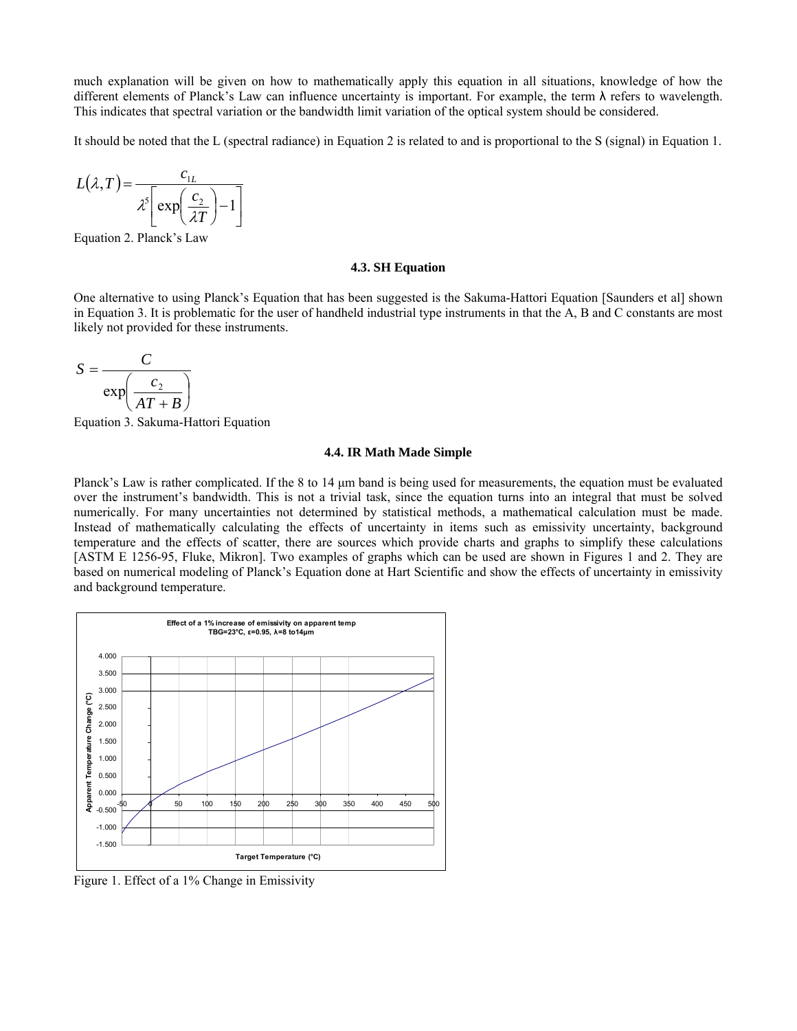much explanation will be given on how to mathematically apply this equation in all situations, knowledge of how the different elements of Planck's Law can influence uncertainty is important. For example, the term λ refers to wavelength. This indicates that spectral variation or the bandwidth limit variation of the optical system should be considered.

It should be noted that the L (spectral radiance) in Equation 2 is related to and is proportional to the S (signal) in Equation 1.

$$
L(\lambda, T) = \frac{c_{1L}}{\lambda^5 \left[ \exp\left(\frac{c_2}{\lambda T}\right) - 1 \right]}
$$

Equation 2. Planck's Law

#### **4.3. SH Equation**

One alternative to using Planck's Equation that has been suggested is the Sakuma-Hattori Equation [Saunders et al] shown in Equation 3. It is problematic for the user of handheld industrial type instruments in that the A, B and C constants are most likely not provided for these instruments.

$$
S = \frac{C}{\exp\left(\frac{c_2}{AT + B}\right)}
$$

Equation 3. Sakuma-Hattori Equation

#### **4.4. IR Math Made Simple**

Planck's Law is rather complicated. If the 8 to 14 μm band is being used for measurements, the equation must be evaluated over the instrument's bandwidth. This is not a trivial task, since the equation turns into an integral that must be solved numerically. For many uncertainties not determined by statistical methods, a mathematical calculation must be made. Instead of mathematically calculating the effects of uncertainty in items such as emissivity uncertainty, background temperature and the effects of scatter, there are sources which provide charts and graphs to simplify these calculations [ASTM E 1256-95, Fluke, Mikron]. Two examples of graphs which can be used are shown in Figures 1 and 2. They are based on numerical modeling of Planck's Equation done at Hart Scientific and show the effects of uncertainty in emissivity and background temperature.



Figure 1. Effect of a 1% Change in Emissivity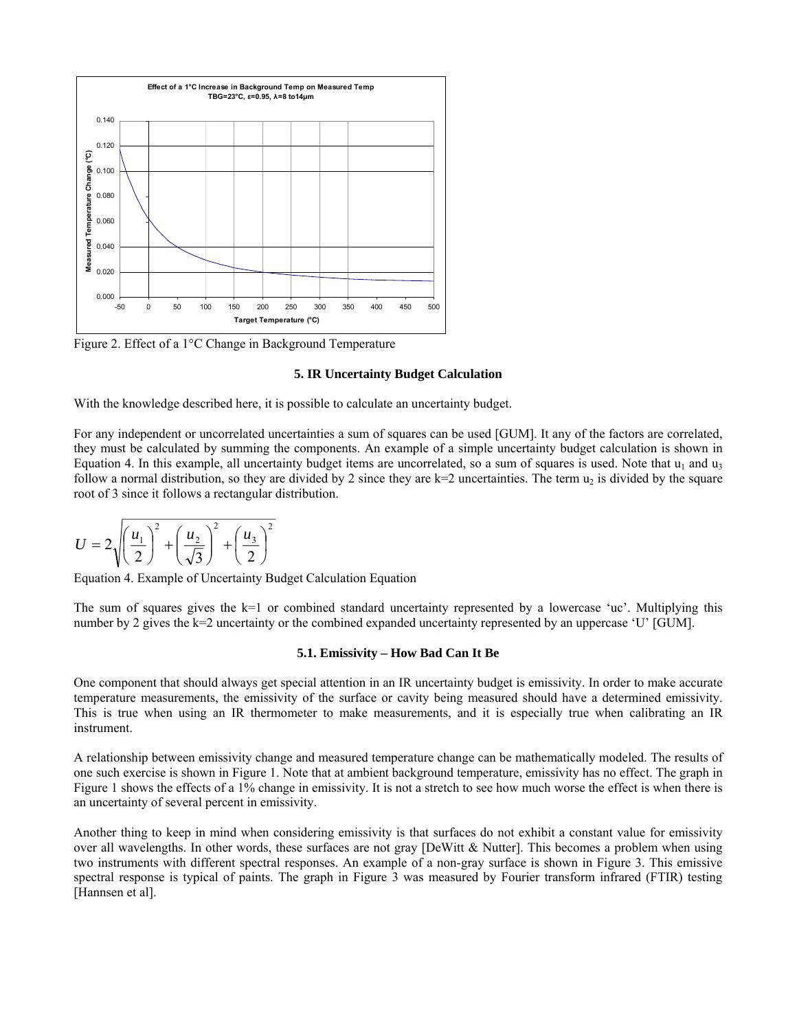

Figure 2. Effect of a 1°C Change in Background Temperature

#### **5. IR Uncertainty Budget Calculation**

With the knowledge described here, it is possible to calculate an uncertainty budget.

For any independent or uncorrelated uncertainties a sum of squares can be used [GUM]. It any of the factors are correlated, they must be calculated by summing the components. An example of a simple uncertainty budget calculation is shown in Equation 4. In this example, all uncertainty budget items are uncorrelated, so a sum of squares is used. Note that  $u_1$  and  $u_3$ follow a normal distribution, so they are divided by 2 since they are  $k=2$  uncertainties. The term  $u_2$  is divided by the square root of 3 since it follows a rectangular distribution.

$$
U = 2\sqrt{\left(\frac{u_1}{2}\right)^2 + \left(\frac{u_2}{\sqrt{3}}\right)^2 + \left(\frac{u_3}{2}\right)^2}
$$

Equation 4. Example of Uncertainty Budget Calculation Equation

The sum of squares gives the k=1 or combined standard uncertainty represented by a lowercase 'uc'. Multiplying this number by 2 gives the k=2 uncertainty or the combined expanded uncertainty represented by an uppercase 'U' [GUM].

### **5.1. Emissivity – How Bad Can It Be**

One component that should always get special attention in an IR uncertainty budget is emissivity. In order to make accurate temperature measurements, the emissivity of the surface or cavity being measured should have a determined emissivity. This is true when using an IR thermometer to make measurements, and it is especially true when calibrating an IR instrument.

A relationship between emissivity change and measured temperature change can be mathematically modeled. The results of one such exercise is shown in Figure 1. Note that at ambient background temperature, emissivity has no effect. The graph in Figure 1 shows the effects of a 1% change in emissivity. It is not a stretch to see how much worse the effect is when there is an uncertainty of several percent in emissivity.

Another thing to keep in mind when considering emissivity is that surfaces do not exhibit a constant value for emissivity over all wavelengths. In other words, these surfaces are not gray [DeWitt & Nutter]. This becomes a problem when using two instruments with different spectral responses. An example of a non-gray surface is shown in Figure 3. This emissive spectral response is typical of paints. The graph in Figure 3 was measured by Fourier transform infrared (FTIR) testing [Hannsen et al].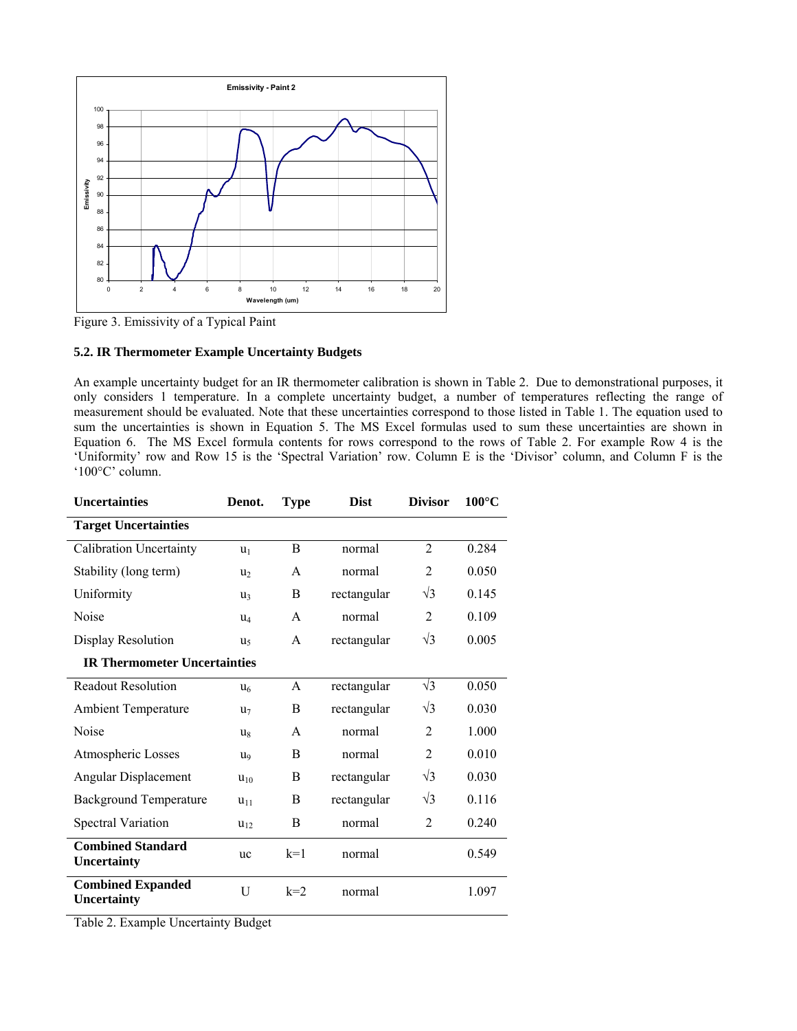

Figure 3. Emissivity of a Typical Paint

# **5.2. IR Thermometer Example Uncertainty Budgets**

An example uncertainty budget for an IR thermometer calibration is shown in Table 2. Due to demonstrational purposes, it only considers 1 temperature. In a complete uncertainty budget, a number of temperatures reflecting the range of measurement should be evaluated. Note that these uncertainties correspond to those listed in Table 1. The equation used to sum the uncertainties is shown in Equation 5. The MS Excel formulas used to sum these uncertainties are shown in Equation 6. The MS Excel formula contents for rows correspond to the rows of Table 2. For example Row 4 is the 'Uniformity' row and Row 15 is the 'Spectral Variation' row. Column E is the 'Divisor' column, and Column F is the '100°C' column.

| <b>Uncertainties</b>                    | Denot.                | Type  | <b>Dist</b> | <b>Divisor</b> | $100^{\circ}$ C |  |  |
|-----------------------------------------|-----------------------|-------|-------------|----------------|-----------------|--|--|
| <b>Target Uncertainties</b>             |                       |       |             |                |                 |  |  |
| Calibration Uncertainty                 | $u_1$                 | B     | normal      | $\overline{2}$ | 0.284           |  |  |
| Stability (long term)                   | $u_2$                 | A     | normal      | 2              | 0.050           |  |  |
| Uniformity                              | $u_3$                 | B     | rectangular | $\sqrt{3}$     | 0.145           |  |  |
| Noise                                   | $u_4$                 | A     | normal      | 2              | 0.109           |  |  |
| Display Resolution                      | u,                    | A     | rectangular | $\sqrt{3}$     | 0.005           |  |  |
| <b>IR Thermometer Uncertainties</b>     |                       |       |             |                |                 |  |  |
| <b>Readout Resolution</b>               | u <sub>6</sub>        | A     | rectangular | $\sqrt{3}$     | 0.050           |  |  |
| <b>Ambient Temperature</b>              | u <sub>7</sub>        | B     | rectangular | $\sqrt{3}$     | 0.030           |  |  |
| Noise                                   | $u_8$                 | A     | normal      | 2              | 1.000           |  |  |
| Atmospheric Losses                      | <b>U</b> <sub>Q</sub> | B     | normal      | $\overline{2}$ | 0.010           |  |  |
| Angular Displacement                    | $u_{10}$              | B     | rectangular | $\sqrt{3}$     | 0.030           |  |  |
| <b>Background Temperature</b>           | $u_{11}$              | B     | rectangular | $\sqrt{3}$     | 0.116           |  |  |
| <b>Spectral Variation</b>               | $u_{12}$              | B     | normal      | $\overline{2}$ | 0.240           |  |  |
| <b>Combined Standard</b><br>Uncertainty | uc                    | $k=1$ | normal      |                | 0.549           |  |  |
| <b>Combined Expanded</b><br>Uncertainty | U                     | $k=2$ | normal      |                | 1.097           |  |  |

Table 2. Example Uncertainty Budget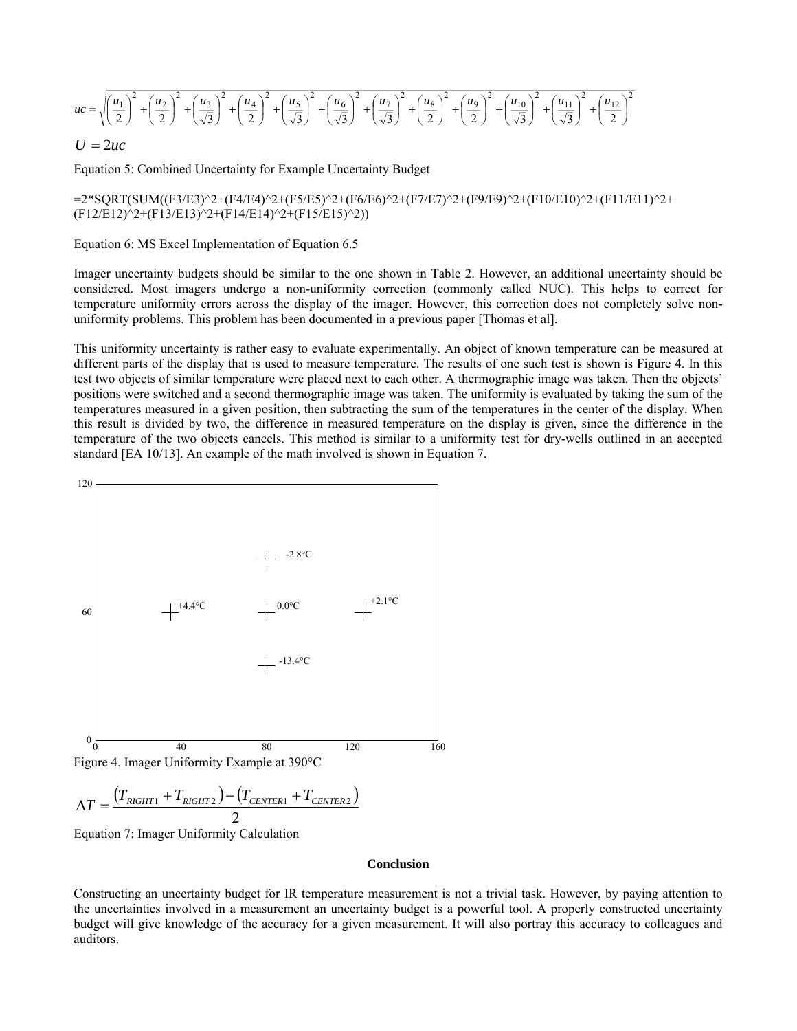$$
uc = \sqrt{\left(\frac{u_1}{2}\right)^2 + \left(\frac{u_2}{2}\right)^2 + \left(\frac{u_3}{\sqrt{3}}\right)^2 + \left(\frac{u_4}{2}\right)^2 + \left(\frac{u_5}{\sqrt{3}}\right)^2 + \left(\frac{u_6}{\sqrt{3}}\right)^2 + \left(\frac{u_7}{\sqrt{3}}\right)^2 + \left(\frac{u_8}{2}\right)^2 + \left(\frac{u_9}{2}\right)^2 + \left(\frac{u_{10}}{\sqrt{3}}\right)^2 + \left(\frac{u_{11}}{\sqrt{3}}\right)^2 + \left(\frac{u_{12}}{2}\right)^2}
$$

 $U = 2uc$ 

Equation 5: Combined Uncertainty for Example Uncertainty Budget

=2\*SQRT(SUM((F3/E3)^2+(F4/E4)^2+(F5/E5)^2+(F6/E6)^2+(F7/E7)^2+(F9/E9)^2+(F10/E10)^2+(F11/E11)^2+ (F12/E12)^2+(F13/E13)^2+(F14/E14)^2+(F15/E15)^2))

Equation 6: MS Excel Implementation of Equation 6.5

Imager uncertainty budgets should be similar to the one shown in Table 2. However, an additional uncertainty should be considered. Most imagers undergo a non-uniformity correction (commonly called NUC). This helps to correct for temperature uniformity errors across the display of the imager. However, this correction does not completely solve nonuniformity problems. This problem has been documented in a previous paper [Thomas et al].

This uniformity uncertainty is rather easy to evaluate experimentally. An object of known temperature can be measured at different parts of the display that is used to measure temperature. The results of one such test is shown is Figure 4. In this test two objects of similar temperature were placed next to each other. A thermographic image was taken. Then the objects' positions were switched and a second thermographic image was taken. The uniformity is evaluated by taking the sum of the temperatures measured in a given position, then subtracting the sum of the temperatures in the center of the display. When this result is divided by two, the difference in measured temperature on the display is given, since the difference in the temperature of the two objects cancels. This method is similar to a uniformity test for dry-wells outlined in an accepted standard [EA 10/13]. An example of the math involved is shown in Equation 7.



$$
\Delta T = \frac{(T_{RIGHT1} + T_{RIGHT2}) - (T_{CENTER1} + T_{CENTER2})}{2}
$$

Equation 7: Imager Uniformity Calculation

#### **Conclusion**

Constructing an uncertainty budget for IR temperature measurement is not a trivial task. However, by paying attention to the uncertainties involved in a measurement an uncertainty budget is a powerful tool. A properly constructed uncertainty budget will give knowledge of the accuracy for a given measurement. It will also portray this accuracy to colleagues and auditors.